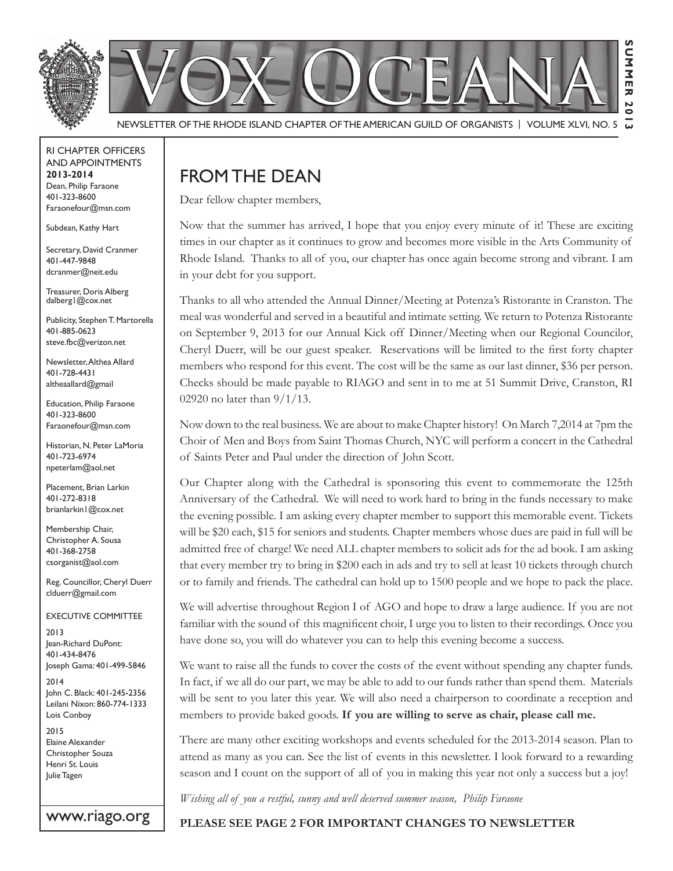

RI Chapter Officers and Appointments **2013-2014** Dean, Philip Faraone 401-323-8600 Faraonefour@msn.com

Subdean, Kathy Hart

Secretary, David Cranmer 401-447-9848 dcranmer@neit.edu

Treasurer, Doris Alberg dalberg1@cox.net

Publicity, Stephen T. Martorella 401-885-0623 steve.fbc@verizon.net

Newsletter, Althea Allard 401-728-4431 altheaallard@gmail

Education, Philip Faraone 401-323-8600 Faraonefour@msn.com

Historian, N. Peter LaMoria 401-723-6974 npeterlam@aol.net

Placement, Brian Larkin 401-272-8318 brianlarkin1@cox.net

Membership Chair, Christopher A. Sousa 401-368-2758 csorganist@aol.com

Reg. Councillor, Cheryl Duerr clduerr@gmail.com

Executive Committee

2013 Jean-Richard DuPont: 401-434-8476 Joseph Gama: 401-499-5846

2014 John C. Black: 401-245-2356 Leilani Nixon: 860-774-1333 Lois Conboy

www.riago.org

2015 Elaine Alexander Christopher Souza Henri St. Louis Julie Tagen

# From the Dean

Dear fellow chapter members,

Now that the summer has arrived, I hope that you enjoy every minute of it! These are exciting times in our chapter as it continues to grow and becomes more visible in the Arts Community of Rhode Island. Thanks to all of you, our chapter has once again become strong and vibrant. I am in your debt for you support.

Thanks to all who attended the Annual Dinner/Meeting at Potenza's Ristorante in Cranston. The meal was wonderful and served in a beautiful and intimate setting. We return to Potenza Ristorante on September 9, 2013 for our Annual Kick off Dinner/Meeting when our Regional Councilor, Cheryl Duerr, will be our guest speaker. Reservations will be limited to the first forty chapter members who respond for this event. The cost will be the same as our last dinner, \$36 per person. Checks should be made payable to RIAGO and sent in to me at 51 Summit Drive, Cranston, RI 02920 no later than 9/1/13.

Now down to the real business. We are about to make Chapter history! On March 7,2014 at 7pm the Choir of Men and Boys from Saint Thomas Church, NYC will perform a concert in the Cathedral of Saints Peter and Paul under the direction of John Scott.

Our Chapter along with the Cathedral is sponsoring this event to commemorate the 125th Anniversary of the Cathedral. We will need to work hard to bring in the funds necessary to make the evening possible. I am asking every chapter member to support this memorable event. Tickets will be \$20 each, \$15 for seniors and students. Chapter members whose dues are paid in full will be admitted free of charge! We need ALL chapter members to solicit ads for the ad book. I am asking that every member try to bring in \$200 each in ads and try to sell at least 10 tickets through church or to family and friends. The cathedral can hold up to 1500 people and we hope to pack the place.

We will advertise throughout Region I of AGO and hope to draw a large audience. If you are not familiar with the sound of this magnificent choir, I urge you to listen to their recordings. Once you have done so, you will do whatever you can to help this evening become a success.

We want to raise all the funds to cover the costs of the event without spending any chapter funds. In fact, if we all do our part, we may be able to add to our funds rather than spend them. Materials will be sent to you later this year. We will also need a chairperson to coordinate a reception and members to provide baked goods. **If you are willing to serve as chair, please call me.**

There are many other exciting workshops and events scheduled for the 2013-2014 season. Plan to attend as many as you can. See the list of events in this newsletter. I look forward to a rewarding season and I count on the support of all of you in making this year not only a success but a joy!

*Wishing all of you a restful, sunny and well deserved summer season, Philip Faraone*

**Please see page 2 for important changes to newsletter**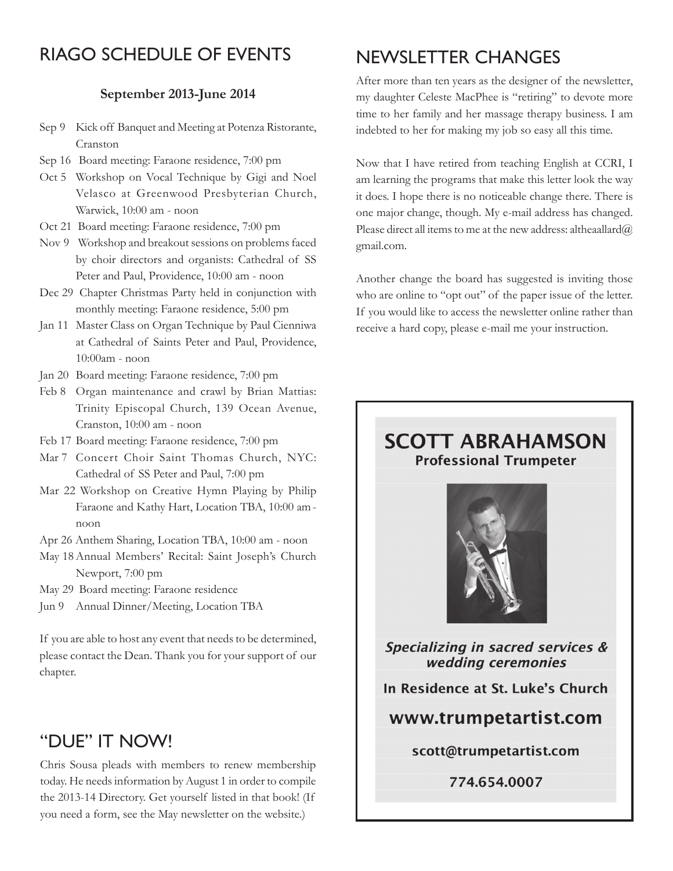# RIAGO Schedule of Events

#### **September 2013-June 2014**

- Sep 9 Kick off Banquet and Meeting at Potenza Ristorante, Cranston
- Sep 16 Board meeting: Faraone residence, 7:00 pm
- Oct 5 Workshop on Vocal Technique by Gigi and Noel Velasco at Greenwood Presbyterian Church, Warwick, 10:00 am - noon
- Oct 21 Board meeting: Faraone residence, 7:00 pm
- Nov 9 Workshop and breakout sessions on problems faced by choir directors and organists: Cathedral of SS Peter and Paul, Providence, 10:00 am - noon
- Dec 29 Chapter Christmas Party held in conjunction with monthly meeting: Faraone residence, 5:00 pm
- Jan 11 Master Class on Organ Technique by Paul Cienniwa at Cathedral of Saints Peter and Paul, Providence, 10:00am - noon
- Jan 20 Board meeting: Faraone residence, 7:00 pm
- Feb 8 Organ maintenance and crawl by Brian Mattias: Trinity Episcopal Church, 139 Ocean Avenue, Cranston, 10:00 am - noon
- Feb 17 Board meeting: Faraone residence, 7:00 pm
- Mar 7 Concert Choir Saint Thomas Church, NYC: Cathedral of SS Peter and Paul, 7:00 pm
- Mar 22 Workshop on Creative Hymn Playing by Philip Faraone and Kathy Hart, Location TBA, 10:00 am noon
- Apr 26 Anthem Sharing, Location TBA, 10:00 am noon
- May 18Annual Members' Recital: Saint Joseph's Church Newport, 7:00 pm
- May 29 Board meeting: Faraone residence
- Jun 9 Annual Dinner/Meeting, Location TBA

If you are able to host any event that needs to be determined, please contact the Dean. Thank you for your support of our chapter.

# "Due" it NOW!

Chris Sousa pleads with members to renew membership today. He needs information by August 1 in order to compile the 2013-14 Directory. Get yourself listed in that book! (If you need a form, see the May newsletter on the website.)

# NEWSLETTER CHANGES

After more than ten years as the designer of the newsletter, my daughter Celeste MacPhee is "retiring" to devote more time to her family and her massage therapy business. I am indebted to her for making my job so easy all this time.

Now that I have retired from teaching English at CCRI, I am learning the programs that make this letter look the way it does. I hope there is no noticeable change there. There is one major change, though. My e-mail address has changed. Please direct all items to me at the new address: altheaallard $@$ gmail.com.

Another change the board has suggested is inviting those who are online to "opt out" of the paper issue of the letter. If you would like to access the newsletter online rather than receive a hard copy, please e-mail me your instruction.